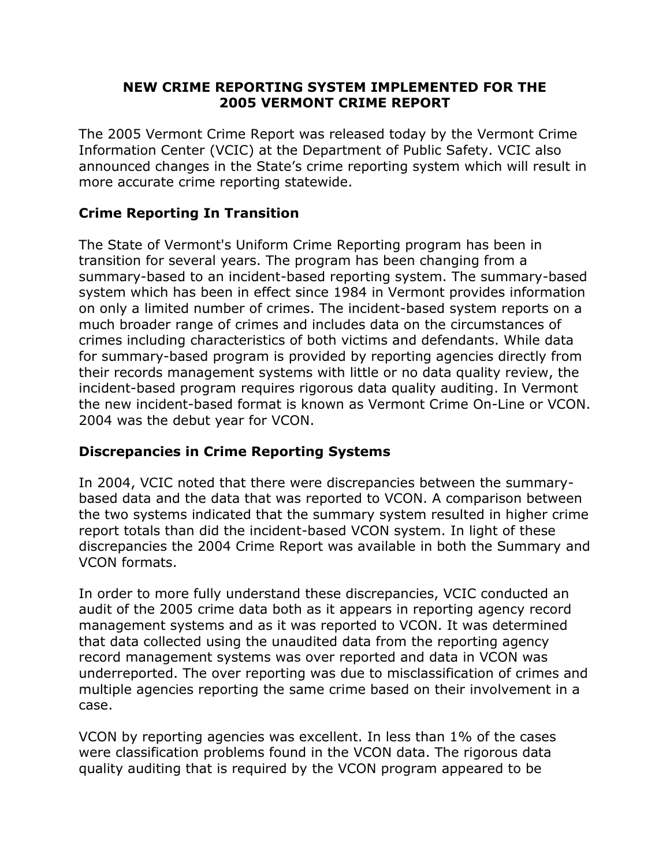#### **NEW CRIME REPORTING SYSTEM IMPLEMENTED FOR THE 2005 VERMONT CRIME REPORT**

The 2005 Vermont Crime Report was released today by the Vermont Crime Information Center (VCIC) at the Department of Public Safety. VCIC also announced changes in the State's crime reporting system which will result in more accurate crime reporting statewide.

### **Crime Reporting In Transition**

The State of Vermont's Uniform Crime Reporting program has been in transition for several years. The program has been changing from a summary-based to an incident-based reporting system. The summary-based system which has been in effect since 1984 in Vermont provides information on only a limited number of crimes. The incident-based system reports on a much broader range of crimes and includes data on the circumstances of crimes including characteristics of both victims and defendants. While data for summary-based program is provided by reporting agencies directly from their records management systems with little or no data quality review, the incident-based program requires rigorous data quality auditing. In Vermont the new incident-based format is known as Vermont Crime On-Line or VCON. 2004 was the debut year for VCON.

### **Discrepancies in Crime Reporting Systems**

In 2004, VCIC noted that there were discrepancies between the summarybased data and the data that was reported to VCON. A comparison between the two systems indicated that the summary system resulted in higher crime report totals than did the incident-based VCON system. In light of these discrepancies the 2004 Crime Report was available in both the Summary and VCON formats.

In order to more fully understand these discrepancies, VCIC conducted an audit of the 2005 crime data both as it appears in reporting agency record management systems and as it was reported to VCON. It was determined that data collected using the unaudited data from the reporting agency record management systems was over reported and data in VCON was underreported. The over reporting was due to misclassification of crimes and multiple agencies reporting the same crime based on their involvement in a case.

VCON by reporting agencies was excellent. In less than 1% of the cases were classification problems found in the VCON data. The rigorous data quality auditing that is required by the VCON program appeared to be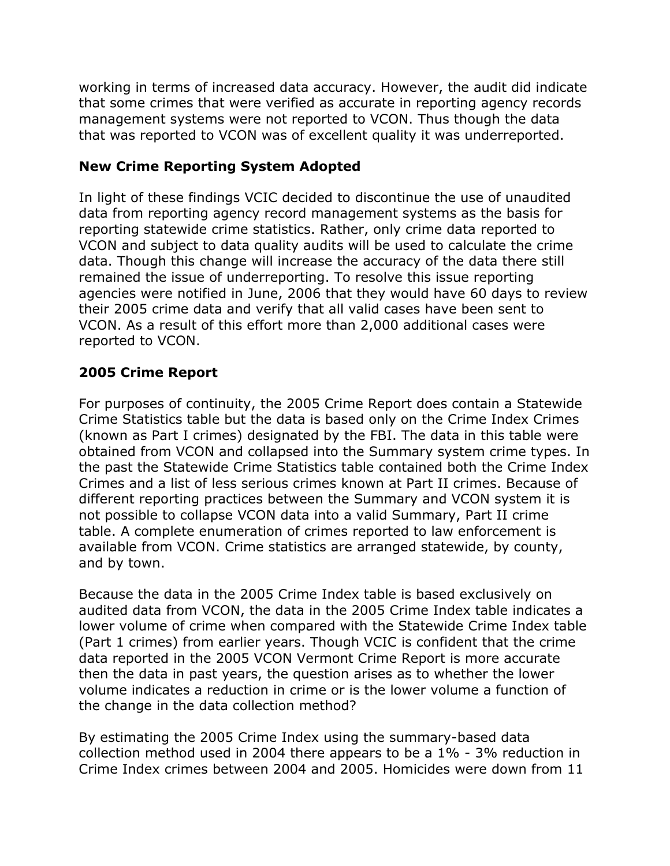working in terms of increased data accuracy. However, the audit did indicate that some crimes that were verified as accurate in reporting agency records management systems were not reported to VCON. Thus though the data that was reported to VCON was of excellent quality it was underreported.

## **New Crime Reporting System Adopted**

In light of these findings VCIC decided to discontinue the use of unaudited data from reporting agency record management systems as the basis for reporting statewide crime statistics. Rather, only crime data reported to VCON and subject to data quality audits will be used to calculate the crime data. Though this change will increase the accuracy of the data there still remained the issue of underreporting. To resolve this issue reporting agencies were notified in June, 2006 that they would have 60 days to review their 2005 crime data and verify that all valid cases have been sent to VCON. As a result of this effort more than 2,000 additional cases were reported to VCON.

# **2005 Crime Report**

For purposes of continuity, the 2005 Crime Report does contain a Statewide Crime Statistics table but the data is based only on the Crime Index Crimes (known as Part I crimes) designated by the FBI. The data in this table were obtained from VCON and collapsed into the Summary system crime types. In the past the Statewide Crime Statistics table contained both the Crime Index Crimes and a list of less serious crimes known at Part II crimes. Because of different reporting practices between the Summary and VCON system it is not possible to collapse VCON data into a valid Summary, Part II crime table. A complete enumeration of crimes reported to law enforcement is available from VCON. Crime statistics are arranged statewide, by county, and by town.

Because the data in the 2005 Crime Index table is based exclusively on audited data from VCON, the data in the 2005 Crime Index table indicates a lower volume of crime when compared with the Statewide Crime Index table (Part 1 crimes) from earlier years. Though VCIC is confident that the crime data reported in the 2005 VCON Vermont Crime Report is more accurate then the data in past years, the question arises as to whether the lower volume indicates a reduction in crime or is the lower volume a function of the change in the data collection method?

By estimating the 2005 Crime Index using the summary-based data collection method used in 2004 there appears to be a 1% - 3% reduction in Crime Index crimes between 2004 and 2005. Homicides were down from 11